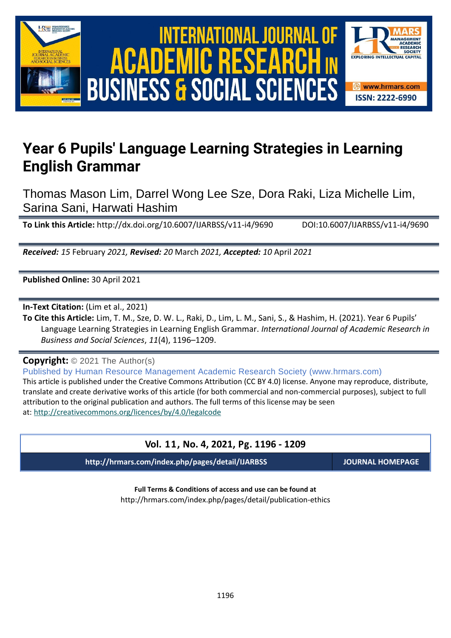

# International Journal of Academic Research in Business and Social Sciences **Vol. 1 1 , No. 4, 2021, E-ISSN: 2222-6990 © 2021 HRMARS ACADEMIC BUSINESS & SOCIAL SCIENCES**



## **Year 6 Pupils' Language Learning Strategies in Learning English Grammar**

Thomas Mason Lim, Darrel Wong Lee Sze, Dora Raki, Liza Michelle Lim, Sarina Sani, Harwati Hashim

**To Link this Article:** http://dx.doi.org/10.6007/IJARBSS/v11-i4/9690 DOI:10.6007/IJARBSS/v11-i4/9690

*Received: 15* February *2021, Revised: 20* March *2021, Accepted: 10* April *2021*

**Published Online:** 30 April 2021

**In-Text Citation:** (Lim et al., 2021)

**To Cite this Article:** Lim, T. M., Sze, D. W. L., Raki, D., Lim, L. M., Sani, S., & Hashim, H. (2021). Year 6 Pupils' Language Learning Strategies in Learning English Grammar. *International Journal of Academic Research in Business and Social Sciences*, *11*(4), 1196–1209.

**Copyright:** © 2021 The Author(s)

Published by Human Resource Management Academic Research Society (www.hrmars.com) This article is published under the Creative Commons Attribution (CC BY 4.0) license. Anyone may reproduce, distribute, translate and create derivative works of this article (for both commercial and non-commercial purposes), subject to full attribution to the original publication and authors. The full terms of this license may be seen at: <http://creativecommons.org/licences/by/4.0/legalcode>

## **Vol. 11, No. 4, 2021, Pg. 1196 - 1209**

**http://hrmars.com/index.php/pages/detail/IJARBSS JOURNAL HOMEPAGE**

**Full Terms & Conditions of access and use can be found at** http://hrmars.com/index.php/pages/detail/publication-ethics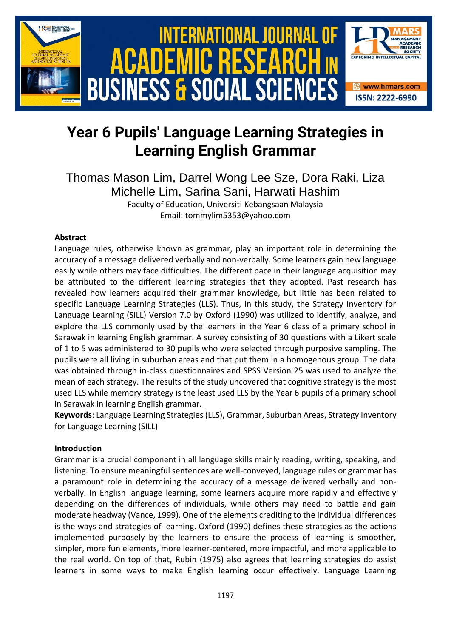

## **Year 6 Pupils' Language Learning Strategies in Learning English Grammar**

Thomas Mason Lim, Darrel Wong Lee Sze, Dora Raki, Liza Michelle Lim, Sarina Sani, Harwati Hashim Faculty of Education, Universiti Kebangsaan Malaysia Email: tommylim5353@yahoo.com

## **Abstract**

Language rules, otherwise known as grammar, play an important role in determining the accuracy of a message delivered verbally and non-verbally. Some learners gain new language easily while others may face difficulties. The different pace in their language acquisition may be attributed to the different learning strategies that they adopted. Past research has revealed how learners acquired their grammar knowledge, but little has been related to specific Language Learning Strategies (LLS). Thus, in this study, the Strategy Inventory for Language Learning (SILL) Version 7.0 by Oxford (1990) was utilized to identify, analyze, and explore the LLS commonly used by the learners in the Year 6 class of a primary school in Sarawak in learning English grammar. A survey consisting of 30 questions with a Likert scale of 1 to 5 was administered to 30 pupils who were selected through purposive sampling. The pupils were all living in suburban areas and that put them in a homogenous group. The data was obtained through in-class questionnaires and SPSS Version 25 was used to analyze the mean of each strategy. The results of the study uncovered that cognitive strategy is the most used LLS while memory strategy is the least used LLS by the Year 6 pupils of a primary school in Sarawak in learning English grammar.

**Keywords**: Language Learning Strategies (LLS), Grammar, Suburban Areas, Strategy Inventory for Language Learning (SILL)

## **Introduction**

Grammar is a crucial component in all language skills mainly reading, writing, speaking, and listening. To ensure meaningful sentences are well-conveyed, language rules or grammar has a paramount role in determining the accuracy of a message delivered verbally and nonverbally. In English language learning, some learners acquire more rapidly and effectively depending on the differences of individuals, while others may need to battle and gain moderate headway (Vance, 1999). One of the elements crediting to the individual differences is the ways and strategies of learning. Oxford (1990) defines these strategies as the actions implemented purposely by the learners to ensure the process of learning is smoother, simpler, more fun elements, more learner-centered, more impactful, and more applicable to the real world. On top of that, Rubin (1975) also agrees that learning strategies do assist learners in some ways to make English learning occur effectively. Language Learning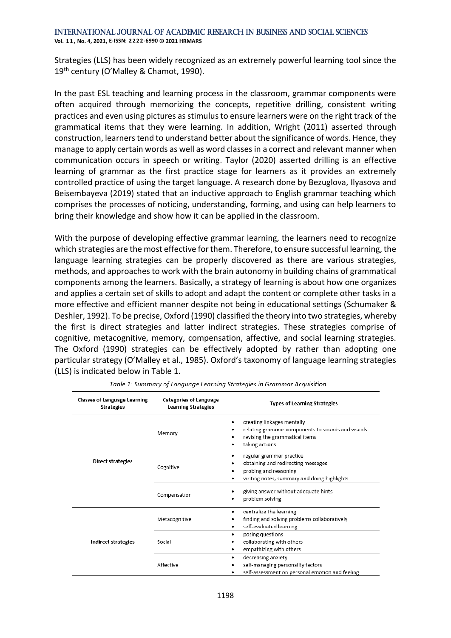**Vol. 1 1 , No. 4, 2021, E-ISSN: 2222-6990 © 2021 HRMARS**

Strategies (LLS) has been widely recognized as an extremely powerful learning tool since the 19<sup>th</sup> century (O'Malley & Chamot, 1990).

In the past ESL teaching and learning process in the classroom, grammar components were often acquired through memorizing the concepts, repetitive drilling, consistent writing practices and even using pictures as stimulus to ensure learners were on the right track of the grammatical items that they were learning. In addition, Wright (2011) asserted through construction, learners tend to understand better about the significance of words. Hence, they manage to apply certain words as well as word classes in a correct and relevant manner when communication occurs in speech or writing. Taylor (2020) asserted drilling is an effective learning of grammar as the first practice stage for learners as it provides an extremely controlled practice of using the target language. A research done by Bezuglova, Ilyasova and Beisembayeva (2019) stated that an inductive approach to English grammar teaching which comprises the processes of noticing, understanding, forming, and using can help learners to bring their knowledge and show how it can be applied in the classroom.

With the purpose of developing effective grammar learning, the learners need to recognize which strategies are the most effective for them. Therefore, to ensure successful learning, the language learning strategies can be properly discovered as there are various strategies, methods, and approaches to work with the brain autonomy in building chains of grammatical components among the learners. Basically, a strategy of learning is about how one organizes and applies a certain set of skills to adopt and adapt the content or complete other tasks in a more effective and efficient manner despite not being in educational settings (Schumaker & Deshler, 1992). To be precise, Oxford (1990) classified the theory into two strategies, whereby the first is direct strategies and latter indirect strategies. These strategies comprise of cognitive, metacognitive, memory, compensation, affective, and social learning strategies. The Oxford (1990) strategies can be effectively adopted by rather than adopting one particular strategy (O'Malley et al., 1985). Oxford's taxonomy of language learning strategies (LLS) is indicated below in Table 1.

| <b>Classes of Language Learning</b><br><b>Strategies</b> | <b>Categories of Language</b><br><b>Learning Strategies</b> | <b>Types of Learning Strategies</b>                                                                                                      |  |  |
|----------------------------------------------------------|-------------------------------------------------------------|------------------------------------------------------------------------------------------------------------------------------------------|--|--|
|                                                          | Memory                                                      | creating linkages mentally<br>٠<br>relating grammar components to sounds and visuals<br>revising the grammatical items<br>taking actions |  |  |
| <b>Direct strategies</b>                                 | Cognitive                                                   | regular grammar practice<br>obtaining and redirecting messages<br>probing and reasoning<br>writing notes, summary and doing highlights   |  |  |
|                                                          | Compensation                                                | giving answer without adequate hints<br>problem solving                                                                                  |  |  |
|                                                          | Metacognitive                                               | centralize the learning<br>٠<br>finding and solving problems collaboratively<br>self-evaluated learning<br>٠                             |  |  |
| <b>Indirect strategies</b>                               | Social                                                      | posing questions<br>٠<br>collaborating with others<br>empathizing with others                                                            |  |  |
|                                                          | Affective                                                   | decreasing anxiety<br>٠<br>self-managing personality factors<br>self-assessment on personal emotion and feeling                          |  |  |

Table 1: Summary of Language Learning Strategies in Grammar Acquisition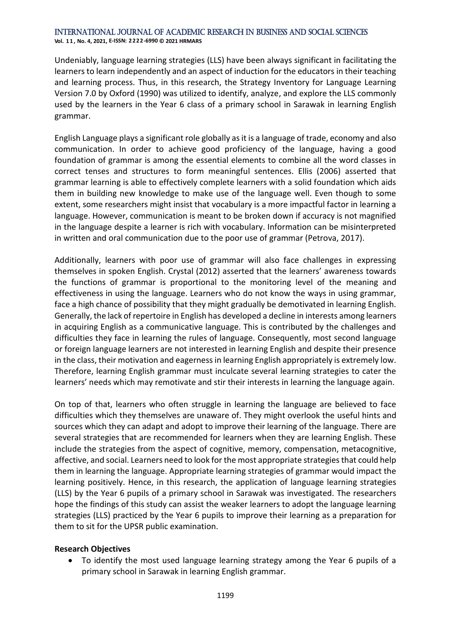**Vol. 1 1 , No. 4, 2021, E-ISSN: 2222-6990 © 2021 HRMARS**

Undeniably, language learning strategies (LLS) have been always significant in facilitating the learners to learn independently and an aspect of induction for the educators in their teaching and learning process. Thus, in this research, the Strategy Inventory for Language Learning Version 7.0 by Oxford (1990) was utilized to identify, analyze, and explore the LLS commonly used by the learners in the Year 6 class of a primary school in Sarawak in learning English grammar.

English Language plays a significant role globally as it is a language of trade, economy and also communication. In order to achieve good proficiency of the language, having a good foundation of grammar is among the essential elements to combine all the word classes in correct tenses and structures to form meaningful sentences. Ellis (2006) asserted that grammar learning is able to effectively complete learners with a solid foundation which aids them in building new knowledge to make use of the language well. Even though to some extent, some researchers might insist that vocabulary is a more impactful factor in learning a language. However, communication is meant to be broken down if accuracy is not magnified in the language despite a learner is rich with vocabulary. Information can be misinterpreted in written and oral communication due to the poor use of grammar (Petrova, 2017).

Additionally, learners with poor use of grammar will also face challenges in expressing themselves in spoken English. Crystal (2012) asserted that the learners' awareness towards the functions of grammar is proportional to the monitoring level of the meaning and effectiveness in using the language. Learners who do not know the ways in using grammar, face a high chance of possibility that they might gradually be demotivated in learning English. Generally, the lack of repertoire in English has developed a decline in interests among learners in acquiring English as a communicative language. This is contributed by the challenges and difficulties they face in learning the rules of language. Consequently, most second language or foreign language learners are not interested in learning English and despite their presence in the class, their motivation and eagerness in learning English appropriately is extremely low. Therefore, learning English grammar must inculcate several learning strategies to cater the learners' needs which may remotivate and stir their interests in learning the language again.

On top of that, learners who often struggle in learning the language are believed to face difficulties which they themselves are unaware of. They might overlook the useful hints and sources which they can adapt and adopt to improve their learning of the language. There are several strategies that are recommended for learners when they are learning English. These include the strategies from the aspect of cognitive, memory, compensation, metacognitive, affective, and social. Learners need to look for the most appropriate strategies that could help them in learning the language. Appropriate learning strategies of grammar would impact the learning positively. Hence, in this research, the application of language learning strategies (LLS) by the Year 6 pupils of a primary school in Sarawak was investigated. The researchers hope the findings of this study can assist the weaker learners to adopt the language learning strategies (LLS) practiced by the Year 6 pupils to improve their learning as a preparation for them to sit for the UPSR public examination.

## **Research Objectives**

• To identify the most used language learning strategy among the Year 6 pupils of a primary school in Sarawak in learning English grammar.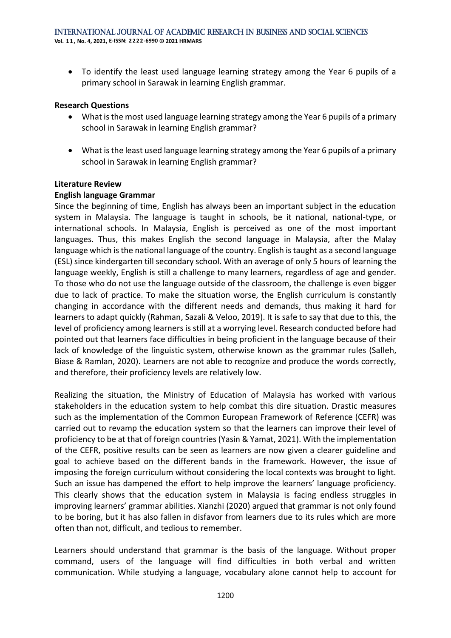• To identify the least used language learning strategy among the Year 6 pupils of a primary school in Sarawak in learning English grammar.

#### **Research Questions**

- What is the most used language learning strategy among the Year 6 pupils of a primary school in Sarawak in learning English grammar?
- What is the least used language learning strategy among the Year 6 pupils of a primary school in Sarawak in learning English grammar?

#### **Literature Review**

#### **English language Grammar**

Since the beginning of time, English has always been an important subject in the education system in Malaysia. The language is taught in schools, be it national, national-type, or international schools. In Malaysia, English is perceived as one of the most important languages. Thus, this makes English the second language in Malaysia, after the Malay language which is the national language of the country. English is taught as a second language (ESL) since kindergarten till secondary school. With an average of only 5 hours of learning the language weekly, English is still a challenge to many learners, regardless of age and gender. To those who do not use the language outside of the classroom, the challenge is even bigger due to lack of practice. To make the situation worse, the English curriculum is constantly changing in accordance with the different needs and demands, thus making it hard for learners to adapt quickly (Rahman, Sazali & Veloo, 2019). It is safe to say that due to this, the level of proficiency among learners is still at a worrying level. Research conducted before had pointed out that learners face difficulties in being proficient in the language because of their lack of knowledge of the linguistic system, otherwise known as the grammar rules (Salleh, Biase & Ramlan, 2020). Learners are not able to recognize and produce the words correctly, and therefore, their proficiency levels are relatively low.

Realizing the situation, the Ministry of Education of Malaysia has worked with various stakeholders in the education system to help combat this dire situation. Drastic measures such as the implementation of the Common European Framework of Reference (CEFR) was carried out to revamp the education system so that the learners can improve their level of proficiency to be at that of foreign countries (Yasin & Yamat, 2021). With the implementation of the CEFR, positive results can be seen as learners are now given a clearer guideline and goal to achieve based on the different bands in the framework. However, the issue of imposing the foreign curriculum without considering the local contexts was brought to light. Such an issue has dampened the effort to help improve the learners' language proficiency. This clearly shows that the education system in Malaysia is facing endless struggles in improving learners' grammar abilities. Xianzhi (2020) argued that grammar is not only found to be boring, but it has also fallen in disfavor from learners due to its rules which are more often than not, difficult, and tedious to remember.

Learners should understand that grammar is the basis of the language. Without proper command, users of the language will find difficulties in both verbal and written communication. While studying a language, vocabulary alone cannot help to account for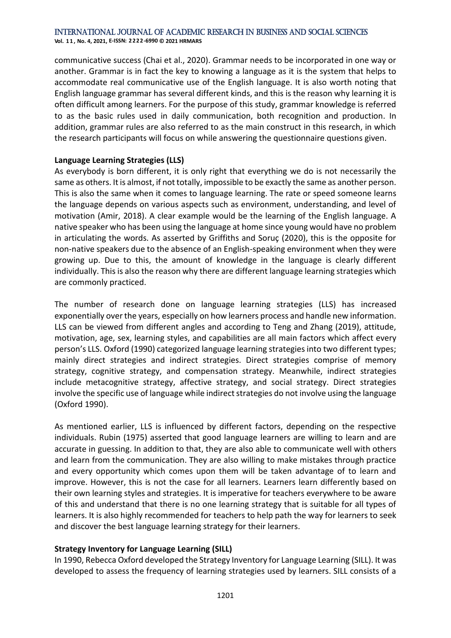**Vol. 1 1 , No. 4, 2021, E-ISSN: 2222-6990 © 2021 HRMARS**

communicative success (Chai et al., 2020). Grammar needs to be incorporated in one way or another. Grammar is in fact the key to knowing a language as it is the system that helps to accommodate real communicative use of the English language. It is also worth noting that English language grammar has several different kinds, and this is the reason why learning it is often difficult among learners. For the purpose of this study, grammar knowledge is referred to as the basic rules used in daily communication, both recognition and production. In addition, grammar rules are also referred to as the main construct in this research, in which the research participants will focus on while answering the questionnaire questions given.

## **Language Learning Strategies (LLS)**

As everybody is born different, it is only right that everything we do is not necessarily the same as others. It is almost, if not totally, impossible to be exactly the same as another person. This is also the same when it comes to language learning. The rate or speed someone learns the language depends on various aspects such as environment, understanding, and level of motivation (Amir, 2018). A clear example would be the learning of the English language. A native speaker who has been using the language at home since young would have no problem in articulating the words. As asserted by Griffiths and Soruç (2020), this is the opposite for non-native speakers due to the absence of an English-speaking environment when they were growing up. Due to this, the amount of knowledge in the language is clearly different individually. This is also the reason why there are different language learning strategies which are commonly practiced.

The number of research done on language learning strategies (LLS) has increased exponentially over the years, especially on how learners process and handle new information. LLS can be viewed from different angles and according to Teng and Zhang (2019), attitude, motivation, age, sex, learning styles, and capabilities are all main factors which affect every person's LLS. Oxford (1990) categorized language learning strategies into two different types; mainly direct strategies and indirect strategies. Direct strategies comprise of memory strategy, cognitive strategy, and compensation strategy. Meanwhile, indirect strategies include metacognitive strategy, affective strategy, and social strategy. Direct strategies involve the specific use of language while indirect strategies do not involve using the language (Oxford 1990).

As mentioned earlier, LLS is influenced by different factors, depending on the respective individuals. Rubin (1975) asserted that good language learners are willing to learn and are accurate in guessing. In addition to that, they are also able to communicate well with others and learn from the communication. They are also willing to make mistakes through practice and every opportunity which comes upon them will be taken advantage of to learn and improve. However, this is not the case for all learners. Learners learn differently based on their own learning styles and strategies. It is imperative for teachers everywhere to be aware of this and understand that there is no one learning strategy that is suitable for all types of learners. It is also highly recommended for teachers to help path the way for learners to seek and discover the best language learning strategy for their learners.

## **Strategy Inventory for Language Learning (SILL)**

In 1990, Rebecca Oxford developed the Strategy Inventory for Language Learning (SILL). It was developed to assess the frequency of learning strategies used by learners. SILL consists of a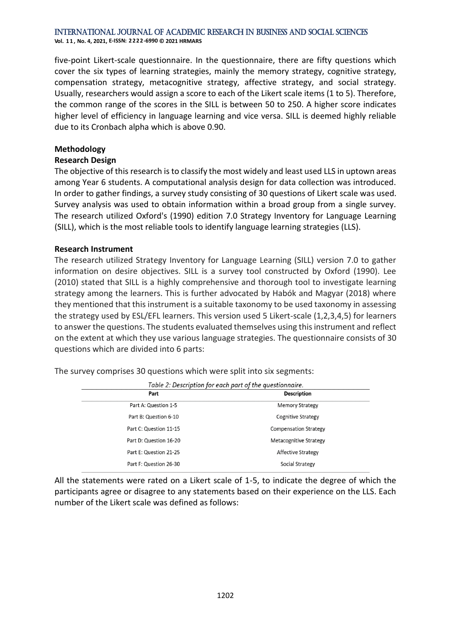**Vol. 1 1 , No. 4, 2021, E-ISSN: 2222-6990 © 2021 HRMARS**

five-point Likert-scale questionnaire. In the questionnaire, there are fifty questions which cover the six types of learning strategies, mainly the memory strategy, cognitive strategy, compensation strategy, metacognitive strategy, affective strategy, and social strategy. Usually, researchers would assign a score to each of the Likert scale items (1 to 5). Therefore, the common range of the scores in the SILL is between 50 to 250. A higher score indicates higher level of efficiency in language learning and vice versa. SILL is deemed highly reliable due to its Cronbach alpha which is above 0.90.

#### **Methodology**

#### **Research Design**

The objective of this research is to classify the most widely and least used LLS in uptown areas among Year 6 students. A computational analysis design for data collection was introduced. In order to gather findings, a survey study consisting of 30 questions of Likert scale was used. Survey analysis was used to obtain information within a broad group from a single survey. The research utilized Oxford's (1990) edition 7.0 Strategy Inventory for Language Learning (SILL), which is the most reliable tools to identify language learning strategies (LLS).

#### **Research Instrument**

The research utilized Strategy Inventory for Language Learning (SILL) version 7.0 to gather information on desire objectives. SILL is a survey tool constructed by Oxford (1990). Lee (2010) stated that SILL is a highly comprehensive and thorough tool to investigate learning strategy among the learners. This is further advocated by Habók and Magyar (2018) where they mentioned that this instrument is a suitable taxonomy to be used taxonomy in assessing the strategy used by ESL/EFL learners. This version used 5 Likert-scale (1,2,3,4,5) for learners to answer the questions. The students evaluated themselves using this instrument and reflect on the extent at which they use various language strategies. The questionnaire consists of 30 questions which are divided into 6 parts:

| Table 2: Description for each part of the questionnaire. |                              |  |  |  |
|----------------------------------------------------------|------------------------------|--|--|--|
| Part                                                     | <b>Description</b>           |  |  |  |
| Part A: Question 1-5                                     | <b>Memory Strategy</b>       |  |  |  |
| Part B: Question 6-10                                    | Cognitive Strategy           |  |  |  |
| Part C: Question 11-15                                   | <b>Compensation Strategy</b> |  |  |  |
| Part D: Question 16-20                                   | Metacognitive Strategy       |  |  |  |
| Part E: Question 21-25                                   | Affective Strategy           |  |  |  |
| Part F: Question 26-30                                   | Social Strategy              |  |  |  |

The survey comprises 30 questions which were split into six segments:

All the statements were rated on a Likert scale of 1-5, to indicate the degree of which the participants agree or disagree to any statements based on their experience on the LLS. Each number of the Likert scale was defined as follows: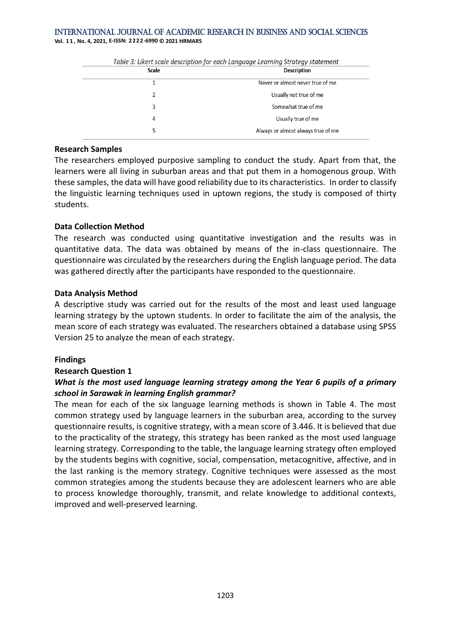**Vol. 1 1 , No. 4, 2021, E-ISSN: 2222-6990 © 2021 HRMARS**

| Table 3: Likert scale description for each Language Learning Strategy statement<br>Scale |  |
|------------------------------------------------------------------------------------------|--|
| <b>Description</b>                                                                       |  |
| Never or almost never true of me                                                         |  |
| Usually not true of me                                                                   |  |
| Somewhat true of me                                                                      |  |
| Usually true of me                                                                       |  |
| Always or almost always true of me                                                       |  |
|                                                                                          |  |

#### **Research Samples**

The researchers employed purposive sampling to conduct the study. Apart from that, the learners were all living in suburban areas and that put them in a homogenous group. With these samples, the data will have good reliability due to its characteristics. In order to classify the linguistic learning techniques used in uptown regions, the study is composed of thirty students.

#### **Data Collection Method**

The research was conducted using quantitative investigation and the results was in quantitative data. The data was obtained by means of the in-class questionnaire. The questionnaire was circulated by the researchers during the English language period. The data was gathered directly after the participants have responded to the questionnaire.

#### **Data Analysis Method**

A descriptive study was carried out for the results of the most and least used language learning strategy by the uptown students. In order to facilitate the aim of the analysis, the mean score of each strategy was evaluated. The researchers obtained a database using SPSS Version 25 to analyze the mean of each strategy.

## **Findings**

## **Research Question 1**

## *What is the most used language learning strategy among the Year 6 pupils of a primary school in Sarawak in learning English grammar?*

The mean for each of the six language learning methods is shown in Table 4. The most common strategy used by language learners in the suburban area, according to the survey questionnaire results, is cognitive strategy, with a mean score of 3.446. It is believed that due to the practicality of the strategy, this strategy has been ranked as the most used language learning strategy. Corresponding to the table, the language learning strategy often employed by the students begins with cognitive, social, compensation, metacognitive, affective, and in the last ranking is the memory strategy. Cognitive techniques were assessed as the most common strategies among the students because they are adolescent learners who are able to process knowledge thoroughly, transmit, and relate knowledge to additional contexts, improved and well-preserved learning.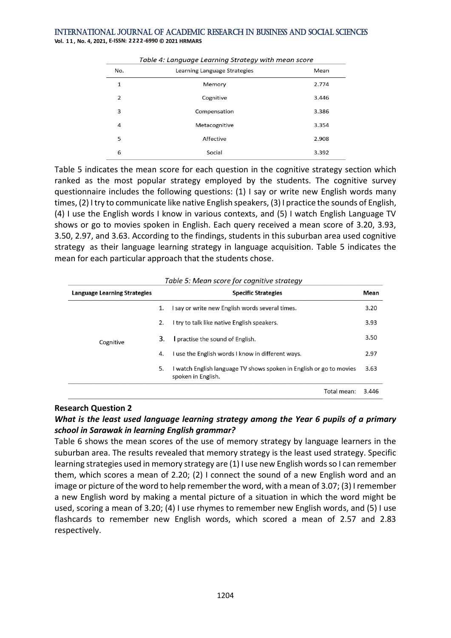**Vol. 1 1 , No. 4, 2021, E-ISSN: 2222-6990 © 2021 HRMARS**

| Table 4: Language Learning Strategy with mean score |                              |       |  |  |  |
|-----------------------------------------------------|------------------------------|-------|--|--|--|
| No.                                                 | Learning Language Strategies | Mean  |  |  |  |
| 1                                                   | Memory                       | 2.774 |  |  |  |
| 2                                                   | Cognitive                    | 3.446 |  |  |  |
| 3                                                   | Compensation                 | 3.386 |  |  |  |
| 4                                                   | Metacognitive                | 3.354 |  |  |  |
| 5                                                   | Affective                    | 2.908 |  |  |  |
| 6                                                   | Social                       | 3.392 |  |  |  |

Table 5 indicates the mean score for each question in the cognitive strategy section which ranked as the most popular strategy employed by the students. The cognitive survey questionnaire includes the following questions: (1) I say or write new English words many times, (2) I try to communicate like native English speakers, (3) I practice the sounds of English, (4) I use the English words I know in various contexts, and (5) I watch English Language TV shows or go to movies spoken in English. Each query received a mean score of 3.20, 3.93, 3.50, 2.97, and 3.63. According to the findings, students in this suburban area used cognitive strategy as their language learning strategy in language acquisition. Table 5 indicates the mean for each particular approach that the students chose.

| Language Learning Strategies |    | <b>Specific Strategies</b>                                                                | Mean  |  |
|------------------------------|----|-------------------------------------------------------------------------------------------|-------|--|
| Cognitive                    | 1. | I say or write new English words several times.                                           | 3.20  |  |
|                              | 2. | I try to talk like native English speakers.                                               | 3.93  |  |
|                              | 3. | practise the sound of English.                                                            | 3.50  |  |
|                              | 4. | I use the English words I know in different ways.                                         | 2.97  |  |
|                              | 5. | I watch English language TV shows spoken in English or go to movies<br>spoken in English. | 3.63  |  |
|                              |    | Total mean:                                                                               | 3.446 |  |

Table 5: Mean score for cognitive strategy

#### **Research Question 2**

## *What is the least used language learning strategy among the Year 6 pupils of a primary school in Sarawak in learning English grammar?*

Table 6 shows the mean scores of the use of memory strategy by language learners in the suburban area. The results revealed that memory strategy is the least used strategy. Specific learning strategies used in memory strategy are (1) I use new English words so I can remember them, which scores a mean of 2.20; (2) I connect the sound of a new English word and an image or picture of the word to help remember the word, with a mean of 3.07; (3) I remember a new English word by making a mental picture of a situation in which the word might be used, scoring a mean of 3.20; (4) I use rhymes to remember new English words, and (5) I use flashcards to remember new English words, which scored a mean of 2.57 and 2.83 respectively.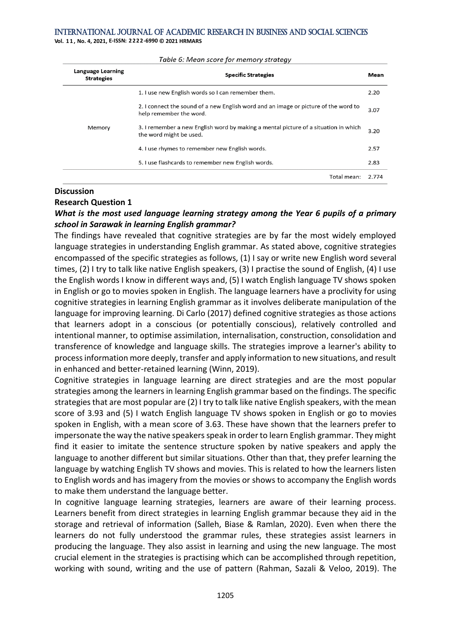**Vol. 1 1 , No. 4, 2021, E-ISSN: 2222-6990 © 2021 HRMARS**

| <b>Language Learning</b><br><b>Strategies</b> | <b>Specific Strategies</b>                                                                                     | Mean  |
|-----------------------------------------------|----------------------------------------------------------------------------------------------------------------|-------|
|                                               | 1. I use new English words so I can remember them.                                                             | 2.20  |
|                                               | 2. I connect the sound of a new English word and an image or picture of the word to<br>help remember the word. |       |
| Memory                                        | 3. I remember a new English word by making a mental picture of a situation in which<br>the word might be used. | 3.20  |
|                                               | 4. I use rhymes to remember new English words.                                                                 | 2.57  |
|                                               | 5. I use flashcards to remember new English words.                                                             | 2.83  |
|                                               | Total mean:                                                                                                    | 2.774 |

#### Table 6: Mean score for memory strategy

#### **Discussion**

#### **Research Question 1**

## *What is the most used language learning strategy among the Year 6 pupils of a primary school in Sarawak in learning English grammar?*

The findings have revealed that cognitive strategies are by far the most widely employed language strategies in understanding English grammar. As stated above, cognitive strategies encompassed of the specific strategies as follows, (1) I say or write new English word several times, (2) I try to talk like native English speakers, (3) I practise the sound of English, (4) I use the English words I know in different ways and, (5) I watch English language TV shows spoken in English or go to movies spoken in English. The language learners have a proclivity for using cognitive strategies in learning English grammar as it involves deliberate manipulation of the language for improving learning. Di Carlo (2017) defined cognitive strategies as those actions that learners adopt in a conscious (or potentially conscious), relatively controlled and intentional manner, to optimise assimilation, internalisation, construction, consolidation and transference of knowledge and language skills. The strategies improve a learner's ability to process information more deeply, transfer and apply information to new situations, and result in enhanced and better-retained learning (Winn, 2019).

Cognitive strategies in language learning are direct strategies and are the most popular strategies among the learners in learning English grammar based on the findings. The specific strategies that are most popular are (2) I try to talk like native English speakers, with the mean score of 3.93 and (5) I watch English language TV shows spoken in English or go to movies spoken in English, with a mean score of 3.63. These have shown that the learners prefer to impersonate the way the native speakers speak in order to learn English grammar. They might find it easier to imitate the sentence structure spoken by native speakers and apply the language to another different but similar situations. Other than that, they prefer learning the language by watching English TV shows and movies. This is related to how the learners listen to English words and has imagery from the movies or shows to accompany the English words to make them understand the language better.

In cognitive language learning strategies, learners are aware of their learning process. Learners benefit from direct strategies in learning English grammar because they aid in the storage and retrieval of information (Salleh, Biase & Ramlan, 2020). Even when there the learners do not fully understood the grammar rules, these strategies assist learners in producing the language. They also assist in learning and using the new language. The most crucial element in the strategies is practising which can be accomplished through repetition, working with sound, writing and the use of pattern (Rahman, Sazali & Veloo, 2019). The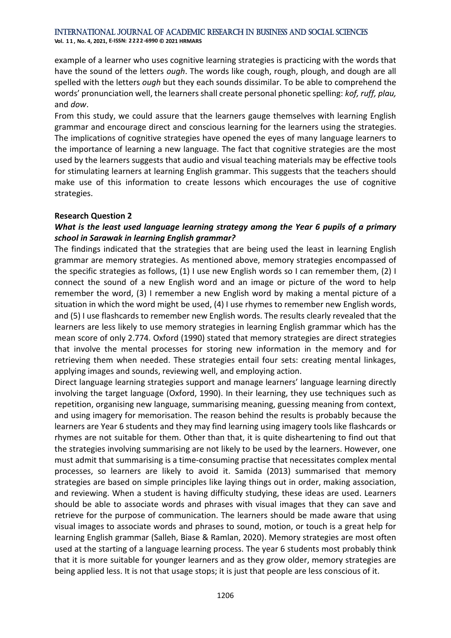**Vol. 1 1 , No. 4, 2021, E-ISSN: 2222-6990 © 2021 HRMARS**

example of a learner who uses cognitive learning strategies is practicing with the words that have the sound of the letters *ough*. The words like cough, rough, plough, and dough are all spelled with the letters *ough* but they each sounds dissimilar. To be able to comprehend the words' pronunciation well, the learners shall create personal phonetic spelling: *kof, ruff, plau,*  and *dow*.

From this study, we could assure that the learners gauge themselves with learning English grammar and encourage direct and conscious learning for the learners using the strategies. The implications of cognitive strategies have opened the eyes of many language learners to the importance of learning a new language. The fact that cognitive strategies are the most used by the learners suggests that audio and visual teaching materials may be effective tools for stimulating learners at learning English grammar. This suggests that the teachers should make use of this information to create lessons which encourages the use of cognitive strategies.

## **Research Question 2**

## *What is the least used language learning strategy among the Year 6 pupils of a primary school in Sarawak in learning English grammar?*

The findings indicated that the strategies that are being used the least in learning English grammar are memory strategies. As mentioned above, memory strategies encompassed of the specific strategies as follows, (1) I use new English words so I can remember them, (2) I connect the sound of a new English word and an image or picture of the word to help remember the word, (3) I remember a new English word by making a mental picture of a situation in which the word might be used, (4) I use rhymes to remember new English words, and (5) I use flashcards to remember new English words. The results clearly revealed that the learners are less likely to use memory strategies in learning English grammar which has the mean score of only 2.774. Oxford (1990) stated that memory strategies are direct strategies that involve the mental processes for storing new information in the memory and for retrieving them when needed. These strategies entail four sets: creating mental linkages, applying images and sounds, reviewing well, and employing action.

Direct language learning strategies support and manage learners' language learning directly involving the target language (Oxford, 1990). In their learning, they use techniques such as repetition, organising new language, summarising meaning, guessing meaning from context, and using imagery for memorisation. The reason behind the results is probably because the learners are Year 6 students and they may find learning using imagery tools like flashcards or rhymes are not suitable for them. Other than that, it is quite disheartening to find out that the strategies involving summarising are not likely to be used by the learners. However, one must admit that summarising is a time-consuming practise that necessitates complex mental processes, so learners are likely to avoid it. Samida (2013) summarised that memory strategies are based on simple principles like laying things out in order, making association, and reviewing. When a student is having difficulty studying, these ideas are used. Learners should be able to associate words and phrases with visual images that they can save and retrieve for the purpose of communication. The learners should be made aware that using visual images to associate words and phrases to sound, motion, or touch is a great help for learning English grammar (Salleh, Biase & Ramlan, 2020). Memory strategies are most often used at the starting of a language learning process. The year 6 students most probably think that it is more suitable for younger learners and as they grow older, memory strategies are being applied less. It is not that usage stops; it is just that people are less conscious of it.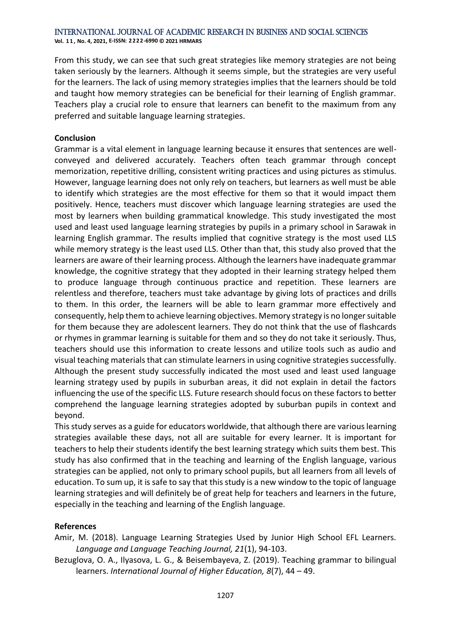**Vol. 1 1 , No. 4, 2021, E-ISSN: 2222-6990 © 2021 HRMARS**

From this study, we can see that such great strategies like memory strategies are not being taken seriously by the learners. Although it seems simple, but the strategies are very useful for the learners. The lack of using memory strategies implies that the learners should be told and taught how memory strategies can be beneficial for their learning of English grammar. Teachers play a crucial role to ensure that learners can benefit to the maximum from any preferred and suitable language learning strategies.

## **Conclusion**

Grammar is a vital element in language learning because it ensures that sentences are wellconveyed and delivered accurately. Teachers often teach grammar through concept memorization, repetitive drilling, consistent writing practices and using pictures as stimulus. However, language learning does not only rely on teachers, but learners as well must be able to identify which strategies are the most effective for them so that it would impact them positively. Hence, teachers must discover which language learning strategies are used the most by learners when building grammatical knowledge. This study investigated the most used and least used language learning strategies by pupils in a primary school in Sarawak in learning English grammar. The results implied that cognitive strategy is the most used LLS while memory strategy is the least used LLS. Other than that, this study also proved that the learners are aware of their learning process. Although the learners have inadequate grammar knowledge, the cognitive strategy that they adopted in their learning strategy helped them to produce language through continuous practice and repetition. These learners are relentless and therefore, teachers must take advantage by giving lots of practices and drills to them. In this order, the learners will be able to learn grammar more effectively and consequently, help them to achieve learning objectives. Memory strategy is no longer suitable for them because they are adolescent learners. They do not think that the use of flashcards or rhymes in grammar learning is suitable for them and so they do not take it seriously. Thus, teachers should use this information to create lessons and utilize tools such as audio and visual teaching materials that can stimulate learners in using cognitive strategies successfully. Although the present study successfully indicated the most used and least used language learning strategy used by pupils in suburban areas, it did not explain in detail the factors influencing the use of the specific LLS. Future research should focus on these factors to better comprehend the language learning strategies adopted by suburban pupils in context and beyond.

This study serves as a guide for educators worldwide, that although there are various learning strategies available these days, not all are suitable for every learner. It is important for teachers to help their students identify the best learning strategy which suits them best. This study has also confirmed that in the teaching and learning of the English language, various strategies can be applied, not only to primary school pupils, but all learners from all levels of education. To sum up, it is safe to say that this study is a new window to the topic of language learning strategies and will definitely be of great help for teachers and learners in the future, especially in the teaching and learning of the English language.

## **References**

Amir, M. (2018). Language Learning Strategies Used by Junior High School EFL Learners. *Language and Language Teaching Journal, 21*(1), 94-103.

Bezuglova, O. A., Ilyasova, L. G., & Beisembayeva, Z. (2019). Teaching grammar to bilingual learners. *International Journal of Higher Education, 8*(7), 44 – 49.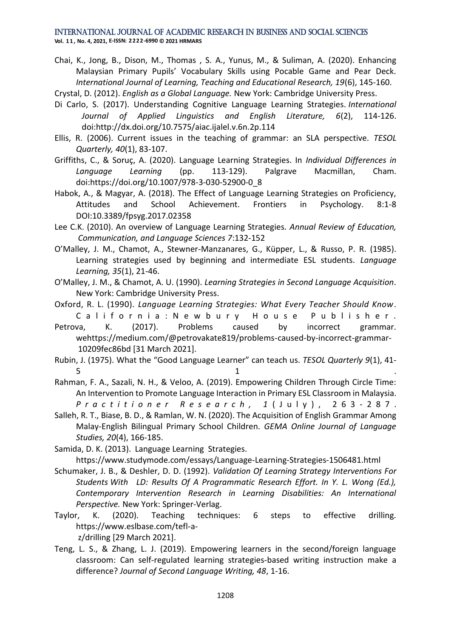#### International Journal of Academic Research in Business and Social Sciences **Vol. 1 1 , No. 4, 2021, E-ISSN: 2222-6990 © 2021 HRMARS**

Chai, K., Jong, B., Dison, M., Thomas , S. A., Yunus, M., & Suliman, A. (2020). Enhancing Malaysian Primary Pupils' Vocabulary Skills using Pocable Game and Pear Deck. *International Journal of Learning, Teaching and Educational Research, 19*(6), 145-160.

Crystal, D. (2012). *English as a Global Language.* New York: Cambridge University Press.

- Di Carlo, S. (2017). Understanding Cognitive Language Learning Strategies. *International Journal of Applied Linguistics and English Literature, 6*(2), 114-126. doi:http://dx.doi.org/10.7575/aiac.ijalel.v.6n.2p.114
- Ellis, R. (2006). Current issues in the teaching of grammar: an SLA perspective. *TESOL Quarterly, 40*(1), 83-107.
- Griffiths, C., & Soruç, A. (2020). Language Learning Strategies. In *Individual Differences in Language Learning* (pp. 113-129). Palgrave Macmillan, Cham. doi:https://doi.org/10.1007/978-3-030-52900-0\_8
- Habok, A., & Magyar, A. (2018). The Effect of Language Learning Strategies on Proficiency, Attitudes and School Achievement. Frontiers in Psychology. 8:1-8 DOI:10.3389/fpsyg.2017.02358
- Lee C.K. (2010). An overview of Language Learning Strategies. *Annual Review of Education, Communication, and Language Sciences 7*:132-152
- O'Malley, J. M., Chamot, A., Stewner-Manzanares, G., Küpper, L., & Russo, P. R. (1985). Learning strategies used by beginning and intermediate ESL students. *Language Learning, 35*(1), 21-46.
- O'Malley, J. M., & Chamot, A. U. (1990). *Learning Strategies in Second Language Acquisition*. New York: Cambridge University Press.
- Oxford, R. L. (1990). *Language Learning Strategies: What Every Teacher Should Know*.
- California: Newbury House Publisher. Petrova, K. (2017). Problems caused by incorrect grammar. wehttps://medium.com/@petrovakate819/problems-caused-by-incorrect-grammar-10209fec86bd [31 March 2021].
- Rubin, J. (1975). What the "Good Language Learner" can teach us. *TESOL Quarterly 9*(1), 41-  $\frac{1}{1}$
- Rahman, F. A., Sazali, N. H., & Veloo, A. (2019). Empowering Children Through Circle Time: An Intervention to Promote Language Interaction in Primary ESL Classroom in Malaysia. *P r a c t i t i o n e r R e s e a r c h , 1* ( J u l y ) , 2 6 3 - 2 8 7 .
- Salleh, R. T., Biase, B. D., & Ramlan, W. N. (2020). The Acquisition of English Grammar Among Malay-English Bilingual Primary School Children. *GEMA Online Journal of Language Studies, 20*(4), 166-185.
- Samida, D. K. (2013). Language Learning Strategies.

https://www.studymode.com/essays/Language-Learning-Strategies-1506481.html

- Schumaker, J. B., & Deshler, D. D. (1992). *Validation Of Learning Strategy Interventions For Students With LD: Results Of A Programmatic Research Effort. In Y. L. Wong (Ed.), Contemporary Intervention Research in Learning Disabilities: An International Perspective.* New York: Springer-Verlag.
- Taylor, K. (2020). Teaching techniques: 6 steps to effective drilling*.*  https://www.eslbase.com/tefl-az/drilling [29 March 2021].
- Teng, L. S., & Zhang, L. J. (2019). Empowering learners in the second/foreign language classroom: Can self-regulated learning strategies-based writing instruction make a difference? *Journal of Second Language Writing, 48*, 1-16.